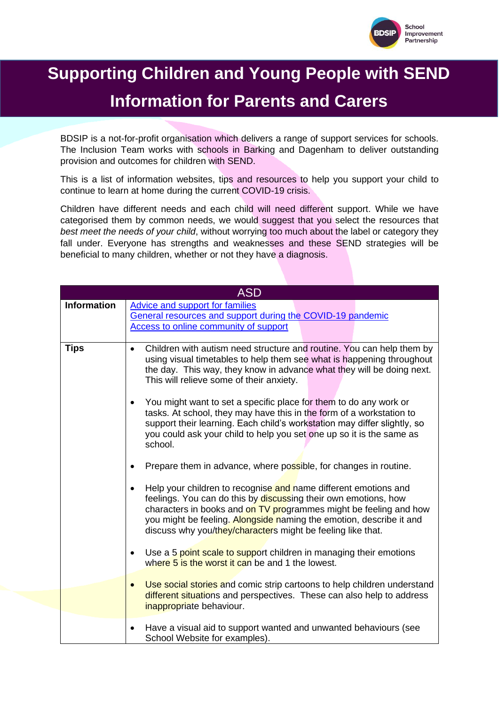

# **Supporting Children and Young People with SEND Information for Parents and Carers**

BDSIP is a not-for-profit organisation which delivers a range of support services for schools. The Inclusion Team works with schools in Barking and Dagenham to deliver outstanding provision and outcomes for children with SEND.

This is a list of information websites, tips and resources to help you support your child to continue to learn at home during the current COVID-19 crisis.

Children have different needs and each child will need different support. While we have categorised them by common needs, we would suggest that you select the resources that *best meet the needs of your child*, without worrying too much about the label or category they fall under. Everyone has strengths and weaknesses and these SEND strategies will be beneficial to many children, whether or not they have a diagnosis.

| <b>ASD</b>         |                                                                                                                                                                                                                                                                                                                                                            |
|--------------------|------------------------------------------------------------------------------------------------------------------------------------------------------------------------------------------------------------------------------------------------------------------------------------------------------------------------------------------------------------|
| <b>Information</b> | <b>Advice and support for families</b><br>General resources and support during the COVID-19 pandemic<br>Access to online community of support                                                                                                                                                                                                              |
| <b>Tips</b>        | Children with autism need structure and routine. You can help them by<br>$\bullet$<br>using visual timetables to help them see what is happening throughout<br>the day. This way, they know in advance what they will be doing next.<br>This will relieve some of their anxiety.                                                                           |
|                    | You might want to set a specific place for them to do any work or<br>$\bullet$<br>tasks. At school, they may have this in the form of a workstation to<br>support their learning. Each child's workstation may differ slightly, so<br>you could ask your child to help you set one up so it is the same as<br>school.                                      |
|                    | Prepare them in advance, where possible, for changes in routine.                                                                                                                                                                                                                                                                                           |
|                    | Help your children to recognise and name different emotions and<br>$\bullet$<br>feelings. You can do this by discussing their own emotions, how<br>characters in books and on TV programmes might be feeling and how<br>you might be feeling. Alongside naming the emotion, describe it and<br>discuss why you/they/characters might be feeling like that. |
|                    | Use a 5 point scale to support children in managing their emotions<br>$\bullet$<br>where 5 is the worst it can be and 1 the lowest.                                                                                                                                                                                                                        |
|                    | Use social stories and comic strip cartoons to help children understand<br>$\bullet$<br>different situations and perspectives. These can also help to address<br>inappropriate behaviour.                                                                                                                                                                  |
|                    | Have a visual aid to support wanted and unwanted behaviours (see<br>School Website for examples).                                                                                                                                                                                                                                                          |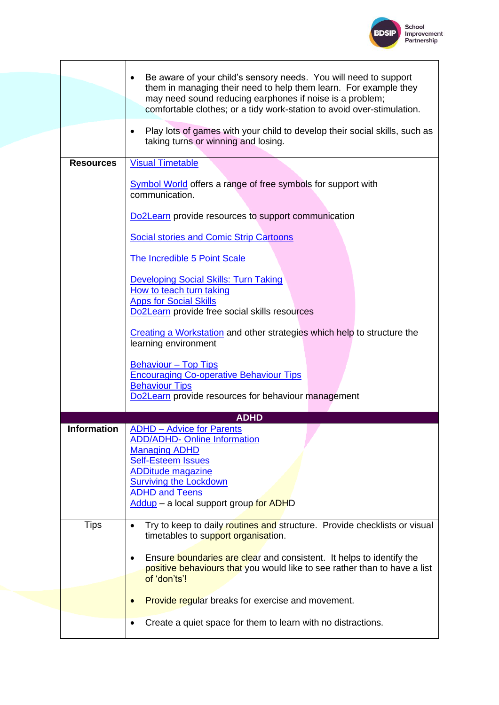

|                    | Be aware of your child's sensory needs. You will need to support<br>them in managing their need to help them learn. For example they<br>may need sound reducing earphones if noise is a problem;<br>comfortable clothes; or a tidy work-station to avoid over-stimulation. |
|--------------------|----------------------------------------------------------------------------------------------------------------------------------------------------------------------------------------------------------------------------------------------------------------------------|
|                    | Play lots of games with your child to develop their social skills, such as<br>$\bullet$<br>taking turns or winning and losing.                                                                                                                                             |
| <b>Resources</b>   | <b>Visual Timetable</b>                                                                                                                                                                                                                                                    |
|                    | Symbol World offers a range of free symbols for support with<br>communication.                                                                                                                                                                                             |
|                    | Do2Learn provide resources to support communication                                                                                                                                                                                                                        |
|                    | <b>Social stories and Comic Strip Cartoons</b>                                                                                                                                                                                                                             |
|                    | <b>The Incredible 5 Point Scale</b>                                                                                                                                                                                                                                        |
|                    | <b>Developing Social Skills: Turn Taking</b><br>How to teach turn taking<br><b>Apps for Social Skills</b>                                                                                                                                                                  |
|                    | Do2Learn provide free social skills resources                                                                                                                                                                                                                              |
|                    | <b>Creating a Workstation and other strategies which help to structure the</b><br>learning environment                                                                                                                                                                     |
|                    | <b>Behaviour - Top Tips</b><br><b>Encouraging Co-operative Behaviour Tips</b><br><b>Behaviour Tips</b><br>Do2Learn provide resources for behaviour management                                                                                                              |
|                    | <b>ADHD</b>                                                                                                                                                                                                                                                                |
| <b>Information</b> | <b>ADHD - Advice for Parents</b><br><b>ADD/ADHD- Online Information</b><br><b>Managing ADHD</b><br><b>Self-Esteem Issues</b><br><b>ADDitude magazine</b><br><b>Surviving the Lockdown</b><br><b>ADHD and Teens</b><br>Addup - a local support group for ADHD               |
| <b>Tips</b>        | Try to keep to daily routines and structure. Provide checklists or visual<br>$\bullet$<br>timetables to support organisation.                                                                                                                                              |
|                    | Ensure boundaries are clear and consistent. It helps to identify the<br>positive behaviours that you would like to see rather than to have a list<br>of 'don'ts'!                                                                                                          |
|                    | <b>Provide regular breaks for exercise and movement.</b>                                                                                                                                                                                                                   |
|                    |                                                                                                                                                                                                                                                                            |
|                    | Create a quiet space for them to learn with no distractions.<br>$\bullet$                                                                                                                                                                                                  |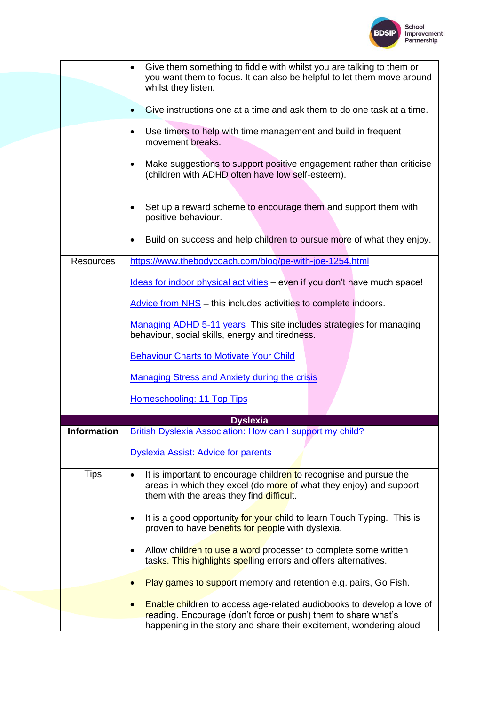

|                    | Give them something to fiddle with whilst you are talking to them or<br>$\bullet$<br>you want them to focus. It can also be helpful to let them move around<br>whilst they listen.               |
|--------------------|--------------------------------------------------------------------------------------------------------------------------------------------------------------------------------------------------|
|                    | Give instructions one at a time and ask them to do one task at a time.                                                                                                                           |
|                    | Use timers to help with time management and build in frequent<br>$\bullet$<br>movement breaks.                                                                                                   |
|                    | Make suggestions to support positive engagement rather than criticise<br>$\bullet$<br>(children with ADHD often have low self-esteem).                                                           |
|                    | Set up a reward scheme to encourage them and support them with<br>positive behaviour.                                                                                                            |
|                    | Build on success and help children to pursue more of what they enjoy.                                                                                                                            |
| <b>Resources</b>   | https://www.thebodycoach.com/blog/pe-with-joe-1254.html                                                                                                                                          |
|                    | Ideas for indoor physical activities - even if you don't have much space!                                                                                                                        |
|                    | Advice from NHS - this includes activities to complete indoors.                                                                                                                                  |
|                    | Managing ADHD 5-11 years This site includes strategies for managing<br>behaviour, social skills, energy and tiredness.                                                                           |
|                    | <b>Behaviour Charts to Motivate Your Child</b>                                                                                                                                                   |
|                    | <b>Managing Stress and Anxiety during the crisis</b>                                                                                                                                             |
|                    | Homeschooling: 11 Top Tips                                                                                                                                                                       |
|                    | <b>Dyslexia</b>                                                                                                                                                                                  |
| <b>Information</b> | British Dyslexia Association: How can I support my child?                                                                                                                                        |
|                    | <b>Dyslexia Assist: Advice for parents</b>                                                                                                                                                       |
| <b>Tips</b>        | It is important to encourage children to recognise and pursue the<br>$\bullet$<br>areas in which they excel (do more of what they enjoy) and support<br>them with the areas they find difficult. |
|                    | It is a good opportunity for your child to learn Touch Typing. This is<br>proven to have benefits for people with dyslexia.                                                                      |
|                    | Allow children to use a word processer to complete some written<br>$\bullet$<br>tasks. This highlights spelling errors and offers alternatives.                                                  |
|                    | Play games to support memory and retention e.g. pairs, Go Fish.                                                                                                                                  |
|                    | <b>Enable children to access age-related audiobooks to develop a love of</b><br>reading. Encourage (don't force or push) them to share what's                                                    |
|                    | happening in the story and share their excitement, wondering aloud                                                                                                                               |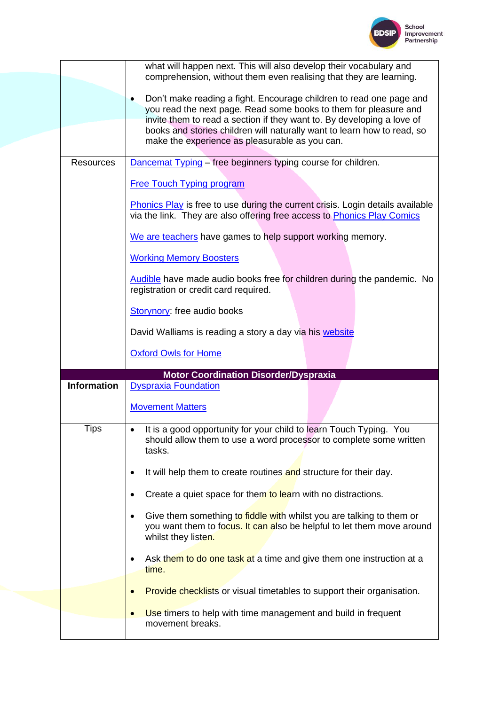

|                    | what will happen next. This will also develop their vocabulary and<br>comprehension, without them even realising that they are learning.                              |
|--------------------|-----------------------------------------------------------------------------------------------------------------------------------------------------------------------|
|                    | Don't make reading a fight. Encourage children to read one page and                                                                                                   |
|                    | you read the next page. Read some books to them for pleasure and                                                                                                      |
|                    | invite them to read a section if they want to. By developing a love of                                                                                                |
|                    | books and stories children will naturally want to learn how to read, so                                                                                               |
|                    | make the experience as pleasurable as you can.                                                                                                                        |
| <b>Resources</b>   | Dancemat Typing - free beginners typing course for children.                                                                                                          |
|                    | <b>Free Touch Typing program</b>                                                                                                                                      |
|                    | <b>Phonics Play</b> is free to use during the current crisis. Login details available<br>via the link. They are also offering free access to Phonics Play Comics      |
|                    | We are teachers have games to help support working memory.                                                                                                            |
|                    | <b>Working Memory Boosters</b>                                                                                                                                        |
|                    | Audible have made audio books free for children during the pandemic. No<br>registration or credit card required.                                                      |
|                    | Storynory: free audio books                                                                                                                                           |
|                    | David Walliams is reading a story a day via his website                                                                                                               |
|                    |                                                                                                                                                                       |
|                    | <b>Oxford Owls for Home</b>                                                                                                                                           |
|                    |                                                                                                                                                                       |
| <b>Information</b> | <b>Motor Coordination Disorder/Dyspraxia</b><br><b>Dyspraxia Foundation</b>                                                                                           |
|                    | <b>Movement Matters</b>                                                                                                                                               |
| <b>Tips</b>        | It is a good opportunity for your child to learn Touch Typing. You<br>should allow them to use a word processor to complete some written<br>tasks.                    |
|                    | It will help them to create routines and structure for their day.                                                                                                     |
|                    | Create a quiet space for them to learn with no distractions.                                                                                                          |
|                    | Give them something to fiddle with whilst you are talking to them or<br>you want them to focus. It can also be helpful to let them move around<br>whilst they listen. |
|                    | Ask them to do one task at a time and give them one instruction at a<br>time.                                                                                         |
|                    | Provide checklists or visual timetables to support their organisation.                                                                                                |
|                    | Use timers to help with time management and build in frequent<br>movement breaks.                                                                                     |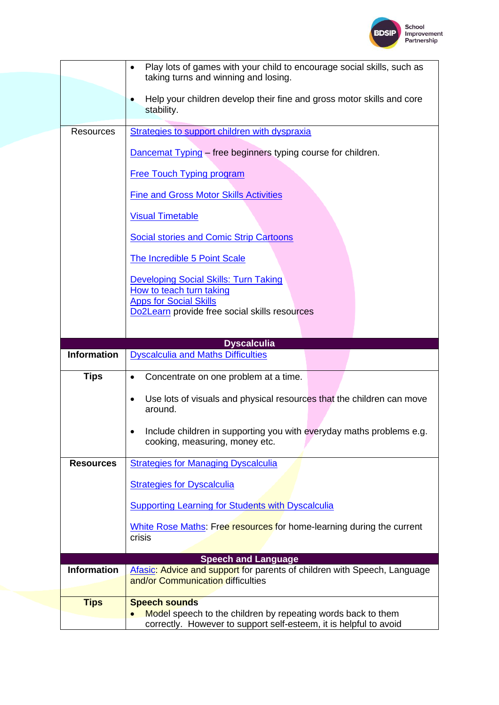

|                    | Play lots of games with your child to encourage social skills, such as<br>$\bullet$<br>taking turns and winning and losing. |
|--------------------|-----------------------------------------------------------------------------------------------------------------------------|
|                    | Help your children develop their fine and gross motor skills and core<br>stability.                                         |
| <b>Resources</b>   | Strategies to support children with dyspraxia                                                                               |
|                    | Dancemat Typing – free beginners typing course for children.                                                                |
|                    | <b>Free Touch Typing program</b>                                                                                            |
|                    | <b>Fine and Gross Motor Skills Activities</b>                                                                               |
|                    | <b>Visual Timetable</b>                                                                                                     |
|                    | <b>Social stories and Comic Strip Cartoons</b>                                                                              |
|                    | The Incredible 5 Point Scale                                                                                                |
|                    | <b>Developing Social Skills: Turn Taking</b>                                                                                |
|                    | How to teach turn taking<br><b>Apps for Social Skills</b>                                                                   |
|                    | Do2Learn provide free social skills resources                                                                               |
|                    | <b>Dyscalculia</b>                                                                                                          |
|                    |                                                                                                                             |
| <b>Information</b> | <b>Dyscalculia and Maths Difficulties</b>                                                                                   |
| <b>Tips</b>        | Concentrate on one problem at a time.<br>$\bullet$                                                                          |
|                    | Use lots of visuals and physical resources that the children can move<br>$\bullet$<br>around.                               |
|                    | Include children in supporting you with everyday maths problems e.g.<br>cooking, measuring, money etc.                      |
| <b>Resources</b>   | <b>Strategies for Managing Dyscalculia</b>                                                                                  |
|                    | <b>Strategies for Dyscalculia</b>                                                                                           |
|                    | <b>Supporting Learning for Students with Dyscalculia</b>                                                                    |
|                    | White Rose Maths: Free resources for home-learning during the current                                                       |
|                    | crisis                                                                                                                      |
|                    | <b>Speech and Language</b>                                                                                                  |
| <b>Information</b> | Afasic: Advice and support for parents of children with Speech, Language<br>and/or Communication difficulties               |
| <b>Tips</b>        | <b>Speech sounds</b><br>Model speech to the children by repeating words back to them                                        |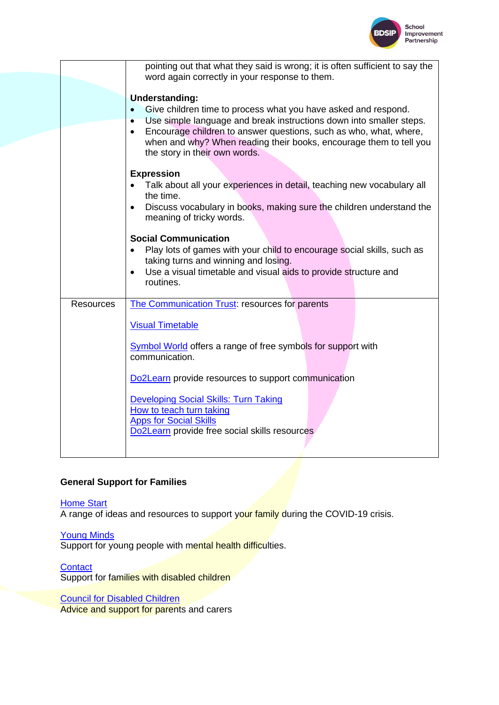

| pointing out that what they said is wrong; it is often sufficient to say the<br>word again correctly in your response to them.                                                                                                                                                                                                                                                   |
|----------------------------------------------------------------------------------------------------------------------------------------------------------------------------------------------------------------------------------------------------------------------------------------------------------------------------------------------------------------------------------|
| <b>Understanding:</b><br>Give children time to process what you have asked and respond.<br>Use simple language and break instructions down into smaller steps.<br>$\bullet$<br>Encourage children to answer questions, such as who, what, where,<br>$\bullet$<br>when and why? When reading their books, encourage them to tell you<br>the story in their own words.             |
| <b>Expression</b><br>Talk about all your experiences in detail, teaching new vocabulary all<br>the time.<br>Discuss vocabulary in books, making sure the children understand the<br>$\bullet$<br>meaning of tricky words.                                                                                                                                                        |
| <b>Social Communication</b><br>Play lots of games with your child to encourage social skills, such as<br>taking turns and winning and losing.<br>Use a visual timetable and visual aids to provide structure and<br>$\bullet$<br>routines.                                                                                                                                       |
| The Communication Trust: resources for parents<br><b>Visual Timetable</b><br>Symbol World offers a range of free symbols for support with<br>communication.<br>Do2Learn provide resources to support communication<br><b>Developing Social Skills: Turn Taking</b><br>How to teach turn taking<br><b>Apps for Social Skills</b><br>Do2Learn provide free social skills resources |
|                                                                                                                                                                                                                                                                                                                                                                                  |

# **General Support for Families**

**[Home Start](https://www.home-start.org.uk/Listing/Category/support-for-families-during-covid-19)** 

A range of ideas and resources to support your family during the COVID-19 crisis.

[Young Minds](https://youngminds.org.uk/blog/)

Support for young people with mental health difficulties.

**[Contact](https://contact.org.uk/advice-and-support/coronavirus-information-for-families-with-disabled-children/)** 

Support for families with disabled children

**[Council for Disabled Children](https://councilfordisabledchildren.org.uk/resources-and-help/im-parent)** 

Advice and support for parents and carers